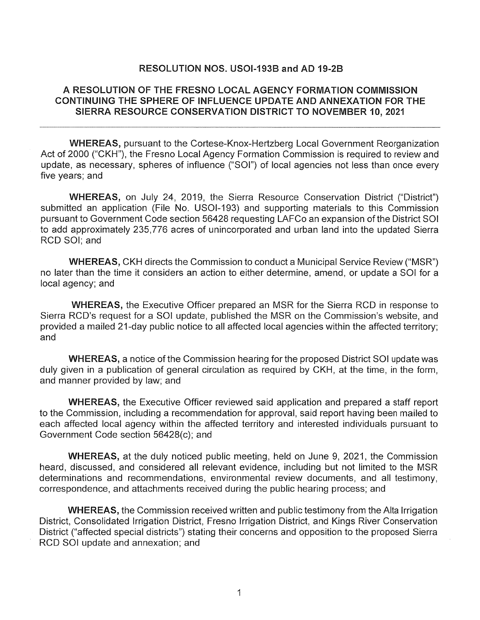## RESOLUTION NOS. USOl-1938 and AD 19-28

# A RESOLUTION OF THE FRESNO LOCAL AGENCY FORMATION COMMISSION CONTINUING THE SPHERE OF INFLUENCE UPDATE AND ANNEXATION FOR THE SIERRA RESOURCE CONSERVATION DISTRICT TO NOVEMBER 10, 2021

WHEREAS, pursuant to the Cortese-Knox-Hertzberg Local Government Reorganization Act of 2000 ("CKH"), the Fresno Local Agency Formation Commission is required to review and update, as necessary, spheres of influence ("SOI") of local agencies not less than once every five years; and

WHEREAS, on July 24, 2019, the Sierra Resource Conservation District ("District") submitted an application (File No. USOl-193) and supporting materials to this Commission pursuant to Government Code section 56428 requesting LAFCo an expansion of the District SOI to add approximately 235,776 acres of unincorporated and urban land into the updated Sierra RCD SOI; and

WHEREAS, CKH directs the Commission to conduct a Municipal Service Review ("MSR") no later than the time it considers an action to either determine, amend, or update a SOI for a local agency; and

WHEREAS, the Executive Officer prepared an MSR for the Sierra RCD in response to Sierra RCD's request for a SOI update, published the MSR on the Commission's website, and provided a mailed 21-day public notice to all affected local agencies within the affected territory; and

WHEREAS, a notice of the Commission hearing for the proposed District SOI update was duly given in a publication of general circulation as required by CKH, at the time, in the form, and manner provided by law; and

WHEREAS, the Executive Officer reviewed said application and prepared a staff report to the Commission, including a recommendation for approval, said report having been mailed to each affected local agency within the affected territory and interested individuals pursuant to Government Code section 56428(c); and

WHEREAS, at the duly noticed public meeting, held on June 9, 2021, the Commission heard, discussed, and considered all relevant evidence, including but not limited to the MSR determinations and recommendations, environmental review documents, and all testimony, correspondence, and attachments received during the public hearing process; and

WHEREAS, the Commission received written and public testimony from the Alta Irrigation District, Consolidated Irrigation District, Fresno Irrigation District, and Kings River Conservation District ("affected special districts") stating their concerns and opposition to the proposed Sierra RCD SOI update and annexation; and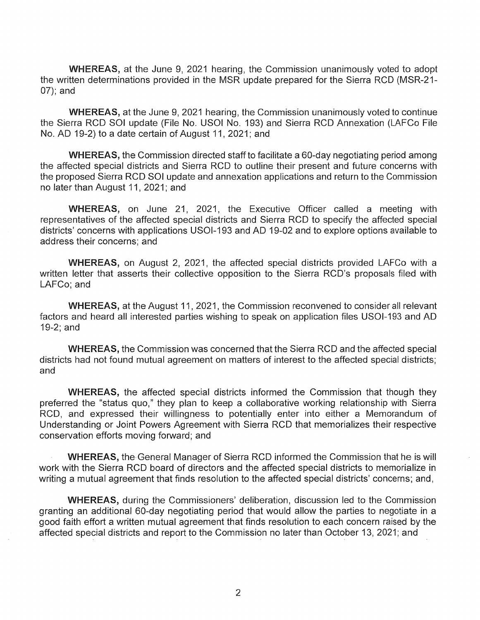WHEREAS, at the June 9, 2021 hearing, the Commission unanimously voted to adopt the written determinations provided in the MSR update prepared for the Sierra RCD (MSR-21- 07); and

WHEREAS, at the June 9, 2021 hearing, the Commission unanimously voted to continue the Sierra RCD SOI update (File No. USOI No. 193) and Sierra RCD Annexation (LAFCo File No. AD 19-2) to a date certain of August 11, 2021; and

WHEREAS, the Commission directed staff to facilitate a 60-day negotiating period among the affected special districts and Sierra RCD to outline their present and future concerns with the proposed Sierra RCD SOI update and annexation applications and return to the Commission no later than August 11, 2021; and

WHEREAS, on June 21, 2021, the Executive Officer called a meeting with representatives of the affected special districts and Sierra RCD to specify the affected special districts' concerns with applications USOl-193 and AD 19-02 and to explore options available to address their concerns; and

WHEREAS, on August 2, 2021, the affected special districts provided LAFCo with a written letter that asserts their collective opposition to the Sierra RCD's proposals filed with LAFCo; and

WHEREAS, at the August 11, 2021, the Commission reconvened to consider all relevant factors and heard all interested parties wishing to speak on application files USOl-193 and AD 19-2; and

WHEREAS, the Commission was concerned that the Sierra RCD and the affected special districts had not found mutual agreement on matters of interest to the affected special districts; and

WHEREAS, the affected special districts informed the Commission that though they preferred the "status quo," they plan to keep a collaborative working relationship with Sierra RCD, and expressed their willingness to potentially enter into either a Memorandum of Understanding or Joint Powers Agreement with Sierra RCD that memorializes their respective conservation efforts moving forward; and

WHEREAS, the General Manager of Sierra RCD informed the Commission that he is will work with the Sierra RCD board of directors and the affected special districts to memorialize in writing a mutual agreement that finds resolution to the affected special districts' concerns; and,

WHEREAS, during the Commissioners' deliberation, discussion led to the Commission granting an additional 60-day negotiating period that would allow the parties to negotiate in a good faith effort a written mutual agreement that finds resolution to each concern raised by the affected special districts and report to the Commission no later than October 13, 2021; and